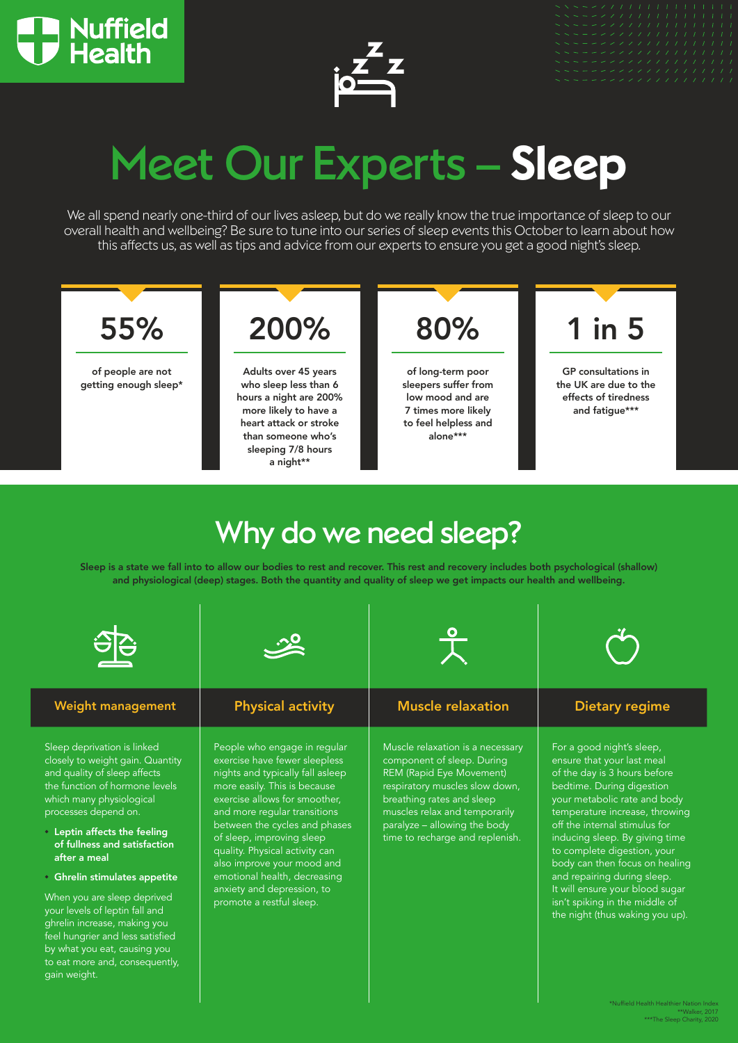



# Meet Our Experts – **Sleep**

We all spend nearly one-third of our lives asleep, but do we really know the true importance of sleep to our overall health and wellbeing? Be sure to tune into our series of sleep events this October to learn about how this affects us, as well as tips and advice from our experts to ensure you get a good night's sleep.



# Why do we need sleep?

Sleep is a state we fall into to allow our bodies to rest and recover. This rest and recovery includes both psychological (shallow) and physiological (deep) stages. Both the quantity and quality of sleep we get impacts our health and wellbeing.



\*Nuffield Health Healthier Nation Index \*\*Walker, 2017 \*\*\*The Sleep Charity, 2020